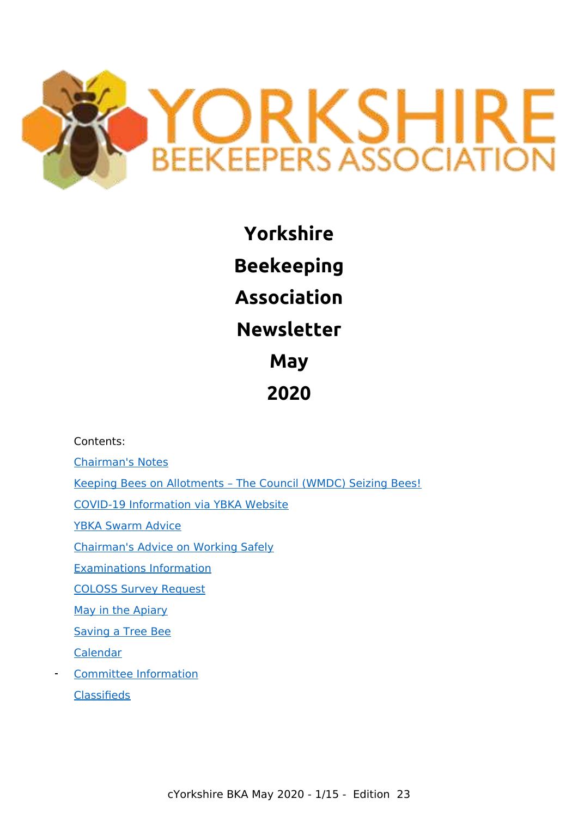

**Yorkshire Beekeeping Association Newsletter May 2020**

Contents:

[Chairman's Notes](#page-1-0)

[Keeping Bees on Allotments – The Council \(WMDC\) Seizing Bees!](#page-2-0)

[COVID-19 Information via YBKA Website](#page-4-1)

[YBKA Swarm Advice](#page-4-0)

[Chairman's Advice on Working Safely](#page-4-3)

[Examinations Information](#page-4-2)

[COLOSS Survey Request](#page-5-0)

[May in the Apiary](#page-6-0)

[Saving a Tree Bee](#page-9-1)

[Calendar](#page-9-0)

[Committee Information](#page-10-0) **[Classifieds](#page-10-1)**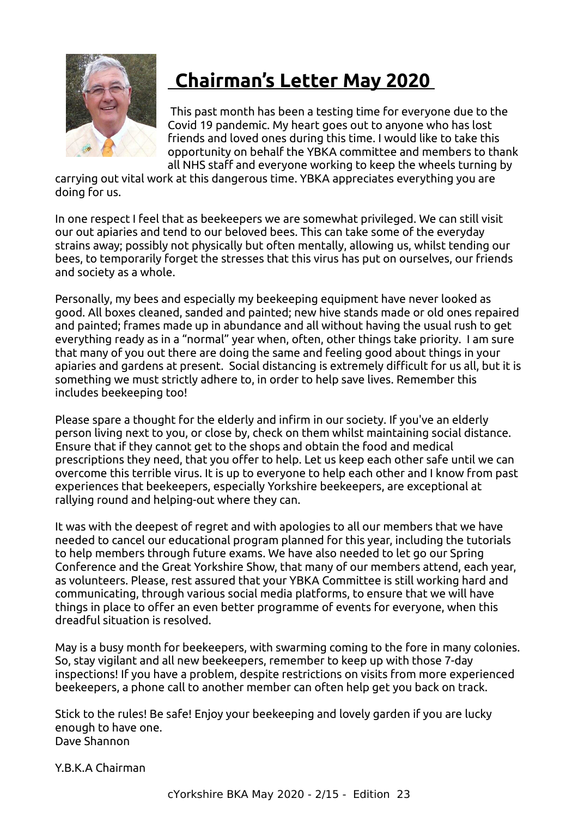

# <span id="page-1-0"></span> **Chairman's Letter May 2020**

 This past month has been a testing time for everyone due to the Covid 19 pandemic. My heart goes out to anyone who has lost friends and loved ones during this time. I would like to take this opportunity on behalf the YBKA committee and members to thank all NHS staff and everyone working to keep the wheels turning by

carrying out vital work at this dangerous time. YBKA appreciates everything you are doing for us.

In one respect I feel that as beekeepers we are somewhat privileged. We can still visit our out apiaries and tend to our beloved bees. This can take some of the everyday strains away; possibly not physically but often mentally, allowing us, whilst tending our bees, to temporarily forget the stresses that this virus has put on ourselves, our friends and society as a whole.

Personally, my bees and especially my beekeeping equipment have never looked as good. All boxes cleaned, sanded and painted; new hive stands made or old ones repaired and painted; frames made up in abundance and all without having the usual rush to get everything ready as in a "normal" year when, often, other things take priority. I am sure that many of you out there are doing the same and feeling good about things in your apiaries and gardens at present. Social distancing is extremely difficult for us all, but it is something we must strictly adhere to, in order to help save lives. Remember this includes beekeeping too!

Please spare a thought for the elderly and infirm in our society. If you've an elderly person living next to you, or close by, check on them whilst maintaining social distance. Ensure that if they cannot get to the shops and obtain the food and medical prescriptions they need, that you offer to help. Let us keep each other safe until we can overcome this terrible virus. It is up to everyone to help each other and I know from past experiences that beekeepers, especially Yorkshire beekeepers, are exceptional at rallying round and helping-out where they can.

It was with the deepest of regret and with apologies to all our members that we have needed to cancel our educational program planned for this year, including the tutorials to help members through future exams. We have also needed to let go our Spring Conference and the Great Yorkshire Show, that many of our members attend, each year, as volunteers. Please, rest assured that your YBKA Committee is still working hard and communicating, through various social media platforms, to ensure that we will have things in place to offer an even better programme of events for everyone, when this dreadful situation is resolved.

May is a busy month for beekeepers, with swarming coming to the fore in many colonies. So, stay vigilant and all new beekeepers, remember to keep up with those 7-day inspections! If you have a problem, despite restrictions on visits from more experienced beekeepers, a phone call to another member can often help get you back on track.

Stick to the rules! Be safe! Enjoy your beekeeping and lovely garden if you are lucky enough to have one. Dave Shannon

Y.B.K.A Chairman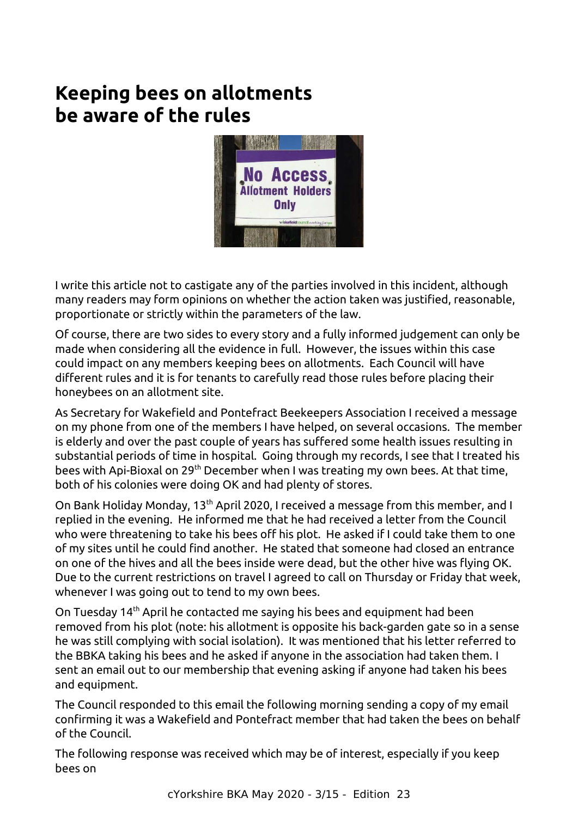# <span id="page-2-0"></span>**Keeping bees on allotments be aware of the rules**



I write this article not to castigate any of the parties involved in this incident, although many readers may form opinions on whether the action taken was justified, reasonable, proportionate or strictly within the parameters of the law.

Of course, there are two sides to every story and a fully informed judgement can only be made when considering all the evidence in full. However, the issues within this case could impact on any members keeping bees on allotments. Each Council will have different rules and it is for tenants to carefully read those rules before placing their honeybees on an allotment site.

As Secretary for Wakefield and Pontefract Beekeepers Association I received a message on my phone from one of the members I have helped, on several occasions. The member is elderly and over the past couple of years has suffered some health issues resulting in substantial periods of time in hospital. Going through my records, I see that I treated his bees with Api-Bioxal on 29<sup>th</sup> December when I was treating my own bees. At that time, both of his colonies were doing OK and had plenty of stores.

On Bank Holiday Monday, 13<sup>th</sup> April 2020, I received a message from this member, and I replied in the evening. He informed me that he had received a letter from the Council who were threatening to take his bees off his plot. He asked if I could take them to one of my sites until he could find another. He stated that someone had closed an entrance on one of the hives and all the bees inside were dead, but the other hive was flying OK. Due to the current restrictions on travel I agreed to call on Thursday or Friday that week, whenever I was going out to tend to my own bees.

On Tuesday 14<sup>th</sup> April he contacted me saying his bees and equipment had been removed from his plot (note: his allotment is opposite his back-garden gate so in a sense he was still complying with social isolation). It was mentioned that his letter referred to the BBKA taking his bees and he asked if anyone in the association had taken them. I sent an email out to our membership that evening asking if anyone had taken his bees and equipment.

The Council responded to this email the following morning sending a copy of my email confirming it was a Wakefield and Pontefract member that had taken the bees on behalf of the Council.

The following response was received which may be of interest, especially if you keep bees on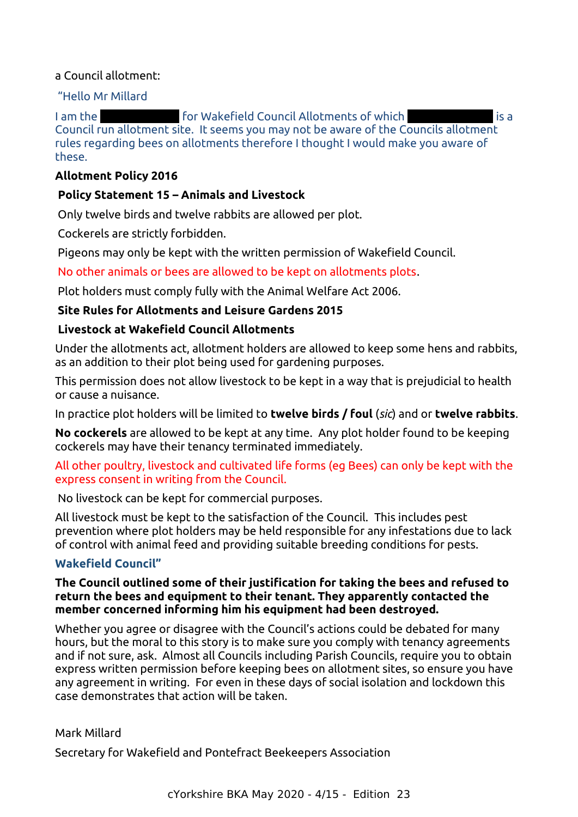#### a Council allotment:

#### "Hello Mr Millard

I am the **Estate of The Estate of Council Allotments of which** Industrial Street is a Council run allotment site. It seems you may not be aware of the Councils allotment rules regarding bees on allotments therefore I thought I would make you aware of these.

#### **Allotment Policy 2016**

### **Policy Statement 15 – Animals and Livestock**

Only twelve birds and twelve rabbits are allowed per plot.

Cockerels are strictly forbidden.

Pigeons may only be kept with the written permission of Wakefield Council.

No other animals or bees are allowed to be kept on allotments plots.

Plot holders must comply fully with the Animal Welfare Act 2006.

#### **Site Rules for Allotments and Leisure Gardens 2015**

#### **Livestock at Wakefield Council Allotments**

Under the allotments act, allotment holders are allowed to keep some hens and rabbits, as an addition to their plot being used for gardening purposes.

This permission does not allow livestock to be kept in a way that is prejudicial to health or cause a nuisance.

In practice plot holders will be limited to **twelve birds / foul** (*sic*) and or **twelve rabbits**.

**No cockerels** are allowed to be kept at any time. Any plot holder found to be keeping cockerels may have their tenancy terminated immediately.

#### All other poultry, livestock and cultivated life forms (eg Bees) can only be kept with the express consent in writing from the Council.

No livestock can be kept for commercial purposes.

All livestock must be kept to the satisfaction of the Council. This includes pest prevention where plot holders may be held responsible for any infestations due to lack of control with animal feed and providing suitable breeding conditions for pests.

### **Wakefield Council"**

#### **The Council outlined some of their justification for taking the bees and refused to return the bees and equipment to their tenant. They apparently contacted the member concerned informing him his equipment had been destroyed.**

Whether you agree or disagree with the Council's actions could be debated for many hours, but the moral to this story is to make sure you comply with tenancy agreements and if not sure, ask. Almost all Councils including Parish Councils, require you to obtain express written permission before keeping bees on allotment sites, so ensure you have any agreement in writing. For even in these days of social isolation and lockdown this case demonstrates that action will be taken.

#### Mark Millard

Secretary for Wakefield and Pontefract Beekeepers Association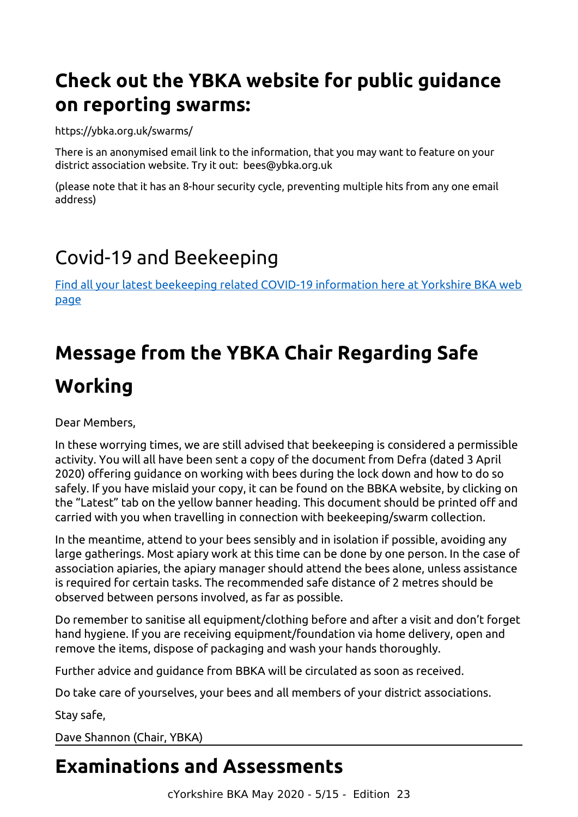# <span id="page-4-0"></span>**Check out the YBKA website for public guidance on reporting swarms:**

https://ybka.org.uk/swarms/

There is an anonymised email link to the information, that you may want to feature on your district association website. Try it out: bees@ybka.org.uk

(please note that it has an 8-hour security cycle, preventing multiple hits from any one email address)

# <span id="page-4-1"></span>Covid-19 and Beekeeping

[Find all your latest beekeeping related COVID-19 information here at Yorkshire BKA web](https://ybka.org.uk/ybka-and-covid-19/) [page](https://ybka.org.uk/ybka-and-covid-19/)

# <span id="page-4-3"></span>**Message from the YBKA Chair Regarding Safe Working**

Dear Members,

In these worrying times, we are still advised that beekeeping is considered a permissible activity. You will all have been sent a copy of the document from Defra (dated 3 April 2020) offering guidance on working with bees during the lock down and how to do so safely. If you have mislaid your copy, it can be found on the BBKA website, by clicking on the "Latest" tab on the yellow banner heading. This document should be printed off and carried with you when travelling in connection with beekeeping/swarm collection.

In the meantime, attend to your bees sensibly and in isolation if possible, avoiding any large gatherings. Most apiary work at this time can be done by one person. In the case of association apiaries, the apiary manager should attend the bees alone, unless assistance is required for certain tasks. The recommended safe distance of 2 metres should be observed between persons involved, as far as possible.

Do remember to sanitise all equipment/clothing before and after a visit and don't forget hand hygiene. If you are receiving equipment/foundation via home delivery, open and remove the items, dispose of packaging and wash your hands thoroughly.

Further advice and guidance from BBKA will be circulated as soon as received.

Do take care of yourselves, your bees and all members of your district associations.

Stay safe,

Dave Shannon (Chair, YBKA)

# <span id="page-4-2"></span>**Examinations and Assessments**

cYorkshire BKA May 2020 - 5/15 - Edition 23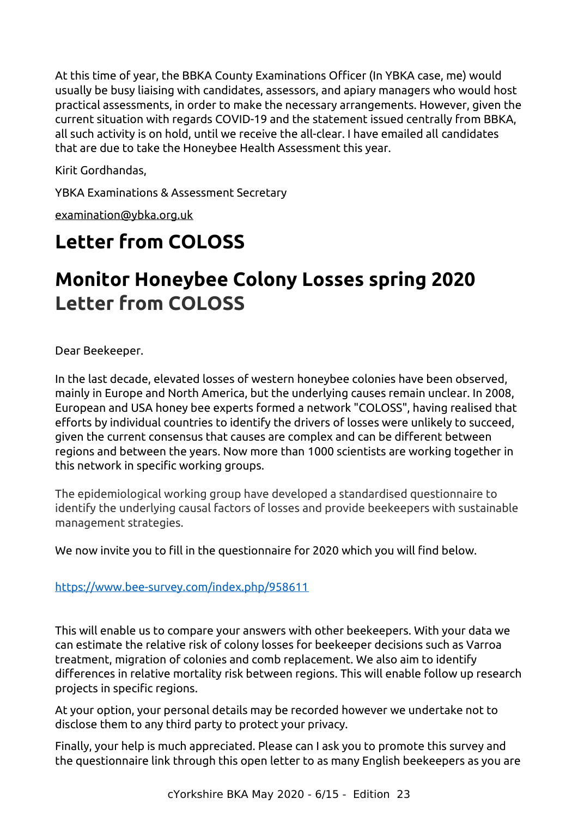At this time of year, the BBKA County Examinations Officer (In YBKA case, me) would usually be busy liaising with candidates, assessors, and apiary managers who would host practical assessments, in order to make the necessary arrangements. However, given the current situation with regards COVID-19 and the statement issued centrally from BBKA, all such activity is on hold, until we receive the all-clear. I have emailed all candidates that are due to take the Honeybee Health Assessment this year.

Kirit Gordhandas,

YBKA Examinations & Assessment Secretary

[examination@ybka.org.uk](mailto:examination@ybka.org.uk)

# <span id="page-5-0"></span>**Letter from COLOSS**

# **Monitor Honeybee Colony Losses spring 2020 Letter from COLOSS**

Dear Beekeeper.

In the last decade, elevated losses of western honeybee colonies have been observed, mainly in Europe and North America, but the underlying causes remain unclear. In 2008, European and USA honey bee experts formed a network "COLOSS", having realised that efforts by individual countries to identify the drivers of losses were unlikely to succeed, given the current consensus that causes are complex and can be different between regions and between the years. Now more than 1000 scientists are working together in this network in specific working groups.

The epidemiological working group have developed a standardised questionnaire to identify the underlying causal factors of losses and provide beekeepers with sustainable management strategies.

We now invite you to fill in the questionnaire for 2020 which you will find below.

### <https://www.bee-survey.com/index.php/958611>

This will enable us to compare your answers with other beekeepers. With your data we can estimate the relative risk of colony losses for beekeeper decisions such as Varroa treatment, migration of colonies and comb replacement. We also aim to identify differences in relative mortality risk between regions. This will enable follow up research projects in specific regions.

At your option, your personal details may be recorded however we undertake not to disclose them to any third party to protect your privacy.

Finally, your help is much appreciated. Please can I ask you to promote this survey and the questionnaire link through this open letter to as many English beekeepers as you are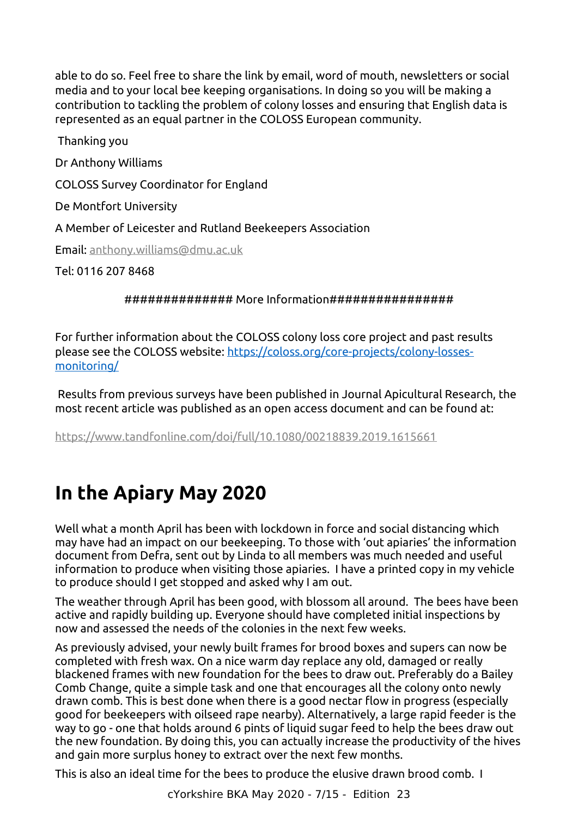able to do so. Feel free to share the link by email, word of mouth, newsletters or social media and to your local bee keeping organisations. In doing so you will be making a contribution to tackling the problem of colony losses and ensuring that English data is represented as an equal partner in the COLOSS European community.

Thanking you Dr Anthony Williams COLOSS Survey Coordinator for England De Montfort University A Member of Leicester and Rutland Beekeepers Association Email: [anthony.williams@dmu.ac.uk](mailto:anthony.williams@dmu.ac.uk)

Tel: 0116 207 8468

############## More Information################

For further information about the COLOSS colony loss core project and past results please see the COLOSS website: [https://coloss.org/core-projects/colony-losses](https://coloss.org/core-projects/colony-losses-monitoring/?fbclid=IwAR27kyUhWBP4DmTw-4qQOms-GwZVRNnqy5fT6BGccqBcWiRM3lDpdwzwnGo)[monitoring/](https://coloss.org/core-projects/colony-losses-monitoring/?fbclid=IwAR27kyUhWBP4DmTw-4qQOms-GwZVRNnqy5fT6BGccqBcWiRM3lDpdwzwnGo)

Results from previous surveys have been published in Journal Apicultural Research, the most recent article was published as an open access document and can be found at:

<https://www.tandfonline.com/doi/full/10.1080/00218839.2019.1615661>

# <span id="page-6-0"></span>**In the Apiary May 2020**

Well what a month April has been with lockdown in force and social distancing which may have had an impact on our beekeeping. To those with 'out apiaries' the information document from Defra, sent out by Linda to all members was much needed and useful information to produce when visiting those apiaries. I have a printed copy in my vehicle to produce should I get stopped and asked why I am out.

The weather through April has been good, with blossom all around. The bees have been active and rapidly building up. Everyone should have completed initial inspections by now and assessed the needs of the colonies in the next few weeks.

As previously advised, your newly built frames for brood boxes and supers can now be completed with fresh wax. On a nice warm day replace any old, damaged or really blackened frames with new foundation for the bees to draw out. Preferably do a Bailey Comb Change, quite a simple task and one that encourages all the colony onto newly drawn comb. This is best done when there is a good nectar flow in progress (especially good for beekeepers with oilseed rape nearby). Alternatively, a large rapid feeder is the way to go - one that holds around 6 pints of liquid sugar feed to help the bees draw out the new foundation. By doing this, you can actually increase the productivity of the hives and gain more surplus honey to extract over the next few months.

This is also an ideal time for the bees to produce the elusive drawn brood comb. I

cYorkshire BKA May 2020 - 7/15 - Edition 23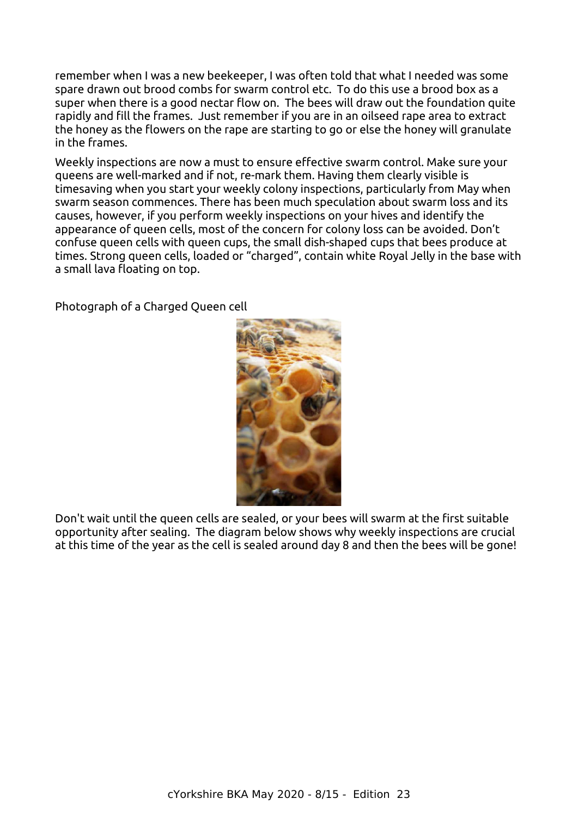remember when I was a new beekeeper, I was often told that what I needed was some spare drawn out brood combs for swarm control etc. To do this use a brood box as a super when there is a good nectar flow on. The bees will draw out the foundation quite rapidly and fill the frames. Just remember if you are in an oilseed rape area to extract the honey as the flowers on the rape are starting to go or else the honey will granulate in the frames.

Weekly inspections are now a must to ensure effective swarm control. Make sure your queens are well-marked and if not, re-mark them. Having them clearly visible is timesaving when you start your weekly colony inspections, particularly from May when swarm season commences. There has been much speculation about swarm loss and its causes, however, if you perform weekly inspections on your hives and identify the appearance of queen cells, most of the concern for colony loss can be avoided. Don't confuse queen cells with queen cups, the small dish-shaped cups that bees produce at times. Strong queen cells, loaded or "charged", contain white Royal Jelly in the base with a small lava floating on top.

Photograph of a Charged Queen cell



Don't wait until the queen cells are sealed, or your bees will swarm at the first suitable opportunity after sealing. The diagram below shows why weekly inspections are crucial at this time of the year as the cell is sealed around day 8 and then the bees will be gone!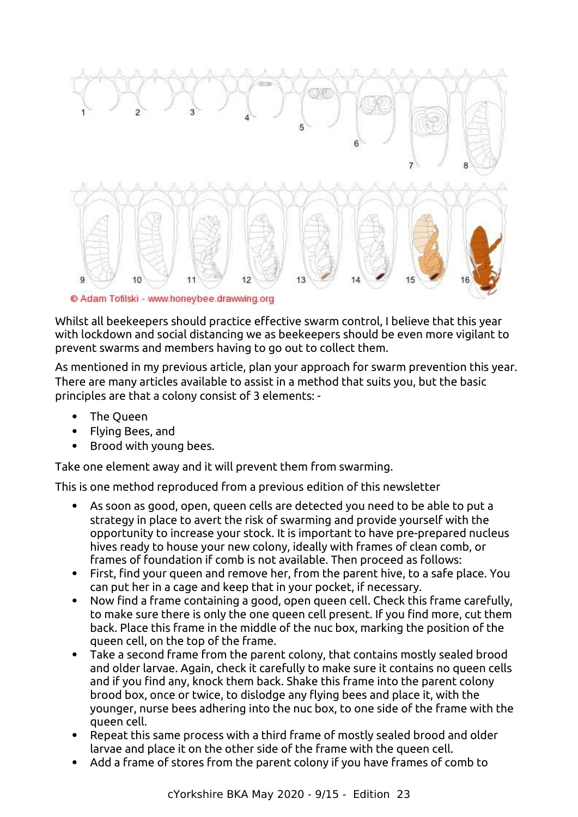

Whilst all beekeepers should practice effective swarm control, I believe that this year with lockdown and social distancing we as beekeepers should be even more vigilant to prevent swarms and members having to go out to collect them.

As mentioned in my previous article, plan your approach for swarm prevention this year. There are many articles available to assist in a method that suits you, but the basic principles are that a colony consist of 3 elements: -

- The Queen
- Flying Bees, and
- Brood with young bees.

Take one element away and it will prevent them from swarming.

This is one method reproduced from a previous edition of this newsletter

- As soon as good, open, queen cells are detected you need to be able to put a strategy in place to avert the risk of swarming and provide yourself with the opportunity to increase your stock. It is important to have pre-prepared nucleus hives ready to house your new colony, ideally with frames of clean comb, or frames of foundation if comb is not available. Then proceed as follows:
- First, find your queen and remove her, from the parent hive, to a safe place. You can put her in a cage and keep that in your pocket, if necessary.
- Now find a frame containing a good, open queen cell. Check this frame carefully, to make sure there is only the one queen cell present. If you find more, cut them back. Place this frame in the middle of the nuc box, marking the position of the queen cell, on the top of the frame.
- Take a second frame from the parent colony, that contains mostly sealed brood and older larvae. Again, check it carefully to make sure it contains no queen cells and if you find any, knock them back. Shake this frame into the parent colony brood box, once or twice, to dislodge any flying bees and place it, with the younger, nurse bees adhering into the nuc box, to one side of the frame with the queen cell.
- Repeat this same process with a third frame of mostly sealed brood and older larvae and place it on the other side of the frame with the queen cell.
- Add a frame of stores from the parent colony if you have frames of comb to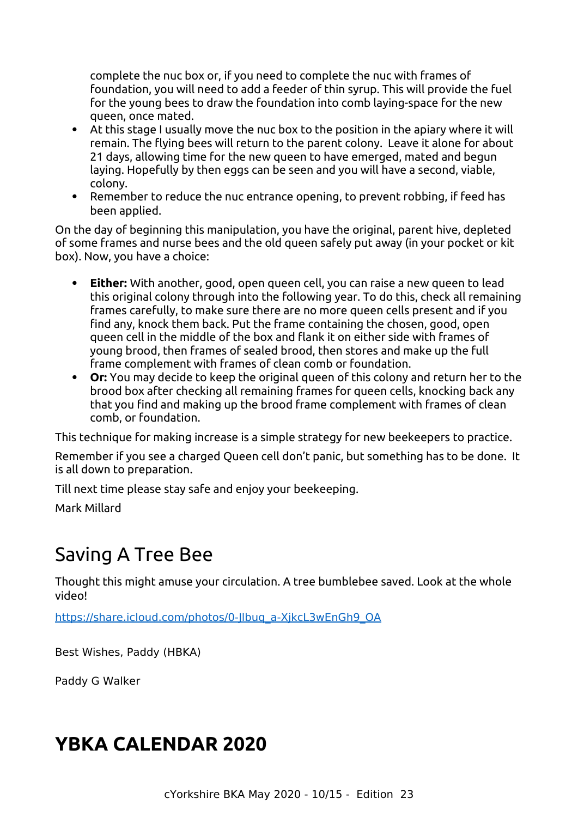complete the nuc box or, if you need to complete the nuc with frames of foundation, you will need to add a feeder of thin syrup. This will provide the fuel for the young bees to draw the foundation into comb laying-space for the new queen, once mated.

- At this stage I usually move the nuc box to the position in the apiary where it will remain. The flying bees will return to the parent colony. Leave it alone for about 21 days, allowing time for the new queen to have emerged, mated and begun laying. Hopefully by then eggs can be seen and you will have a second, viable, colony.
- Remember to reduce the nuc entrance opening, to prevent robbing, if feed has been applied.

On the day of beginning this manipulation, you have the original, parent hive, depleted of some frames and nurse bees and the old queen safely put away (in your pocket or kit box). Now, you have a choice:

- **Either:** With another, good, open queen cell, you can raise a new queen to lead this original colony through into the following year. To do this, check all remaining frames carefully, to make sure there are no more queen cells present and if you find any, knock them back. Put the frame containing the chosen, good, open queen cell in the middle of the box and flank it on either side with frames of young brood, then frames of sealed brood, then stores and make up the full frame complement with frames of clean comb or foundation.
- **Or:** You may decide to keep the original queen of this colony and return her to the brood box after checking all remaining frames for queen cells, knocking back any that you find and making up the brood frame complement with frames of clean comb, or foundation.

This technique for making increase is a simple strategy for new beekeepers to practice.

Remember if you see a charged Queen cell don't panic, but something has to be done. It is all down to preparation.

Till next time please stay safe and enjoy your beekeeping.

Mark Millard

# <span id="page-9-1"></span>Saving A Tree Bee

Thought this might amuse your circulation. A tree bumblebee saved. Look at the whole video!

[https://share.icloud.com/photos/0-Jlbuq\\_a-XjkcL3wEnGh9\\_OA](https://share.icloud.com/photos/0-Jlbuq_a-XjkcL3wEnGh9_OA)

Best Wishes, Paddy (HBKA)

Paddy G Walker

# <span id="page-9-0"></span>**YBKA CALENDAR 2020**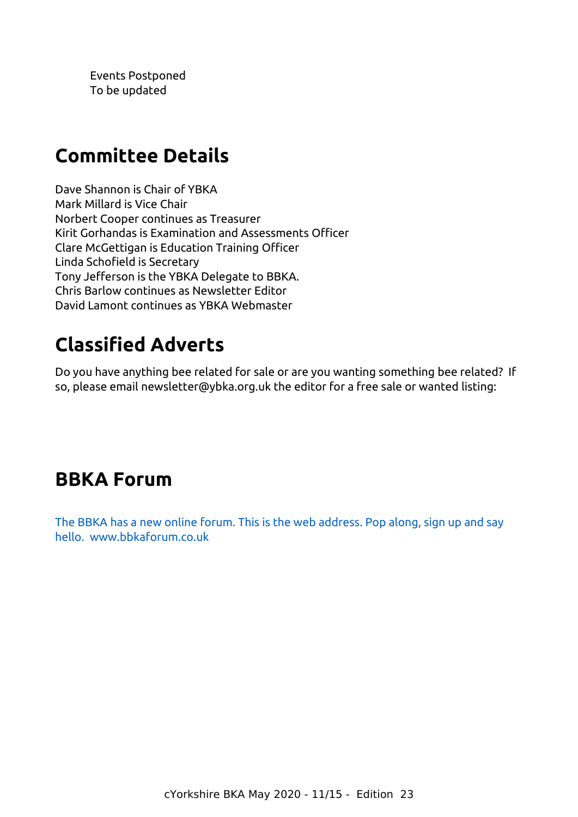Events Postponed To be updated

# <span id="page-10-0"></span>**Committee Details**

Dave Shannon is Chair of YBKA Mark Millard is Vice Chair Norbert Cooper continues as Treasurer Kirit Gorhandas is Examination and Assessments Officer Clare McGettigan is Education Training Officer Linda Schofield is Secretary Tony Jefferson is the YBKA Delegate to BBKA. Chris Barlow continues as Newsletter Editor David Lamont continues as YBKA Webmaster

# <span id="page-10-1"></span>**Classified Adverts**

Do you have anything bee related for sale or are you wanting something bee related? If so, please email newsletter@ybka.org.uk the editor for a free sale or wanted listing:

# **BBKA Forum**

[The BBKA has a new online forum. This is the web address. Pop along, sign up and say](http://www.bbkaforum.co.uk/)  [hello. www.bbkaforum.co.uk](http://www.bbkaforum.co.uk/)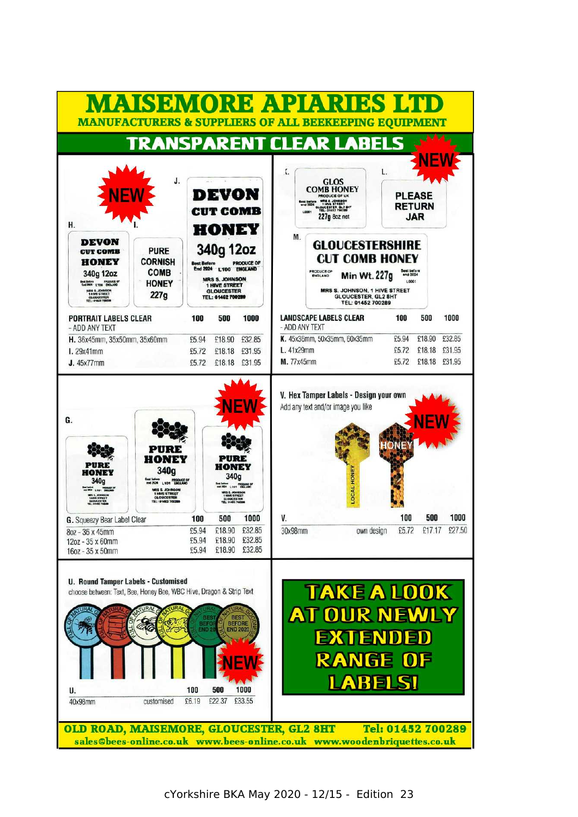|                                                                                                                                                                                       |                                                                                                                         |                                                               |                                                                                                                                        |                  |                                                                                                     | <b>MAISEMORE APIARIES LTD</b><br><b>MANUFACTURERS &amp; SUPPLIERS OF ALL BEEKEEPING EQUIPMENT</b>                |                                                          |                   |                     |                  |
|---------------------------------------------------------------------------------------------------------------------------------------------------------------------------------------|-------------------------------------------------------------------------------------------------------------------------|---------------------------------------------------------------|----------------------------------------------------------------------------------------------------------------------------------------|------------------|-----------------------------------------------------------------------------------------------------|------------------------------------------------------------------------------------------------------------------|----------------------------------------------------------|-------------------|---------------------|------------------|
|                                                                                                                                                                                       |                                                                                                                         |                                                               |                                                                                                                                        |                  |                                                                                                     | <b>TRANSPARENT CLEAR LABELS</b>                                                                                  |                                                          |                   |                     |                  |
| H.                                                                                                                                                                                    | J.                                                                                                                      | DEVON<br>CUT COMB<br>HONEY                                    |                                                                                                                                        |                  | ٢.<br>ast before <b>1875 \$ JOINSON</b><br>end 2024 <b>1 HIVE STREET</b><br>LOOD1 TEL: 01452 700289 |                                                                                                                  | <b>PLEASE</b><br><b>RETURN</b><br><b>JAR</b>             |                   |                     |                  |
| <b>DEVON</b><br><b>CUT COMB</b><br><b>HONEY</b><br>340g 12oz<br>Best Before PRODUCE OF<br>End 2024 LTDG BROLAND<br>HRS S. JOHNSON<br>1 HIVE STREET<br>OLOUGESTER<br>TEL: 01462 700288 | <b>PURE</b><br><b>CORNISH</b><br><b>COMB</b><br><b>HONEY</b><br>227g                                                    | 340g 12oz<br><b>Best Before</b><br>End 2024 L'100 ENGLAND     | <b>MRS S. JOHNSON</b><br><b>1 HIVE STREET</b><br><b>GLOUCESTER</b><br>TEL: 01452 700289                                                | PRODUCE OF       | М.                                                                                                  | <b>GLOUCESTERSHIRE</b><br><b>CUT COMB HONEY</b><br><b>PRODUCE OF</b><br>ENGLAND<br>MRS S. JOHNSON, 1 HIVE STREET | Min Wt. 227g<br>GLOUCESTER, GL2 8HT<br>TEL: 01452 700289 | and 2024<br>L0001 |                     |                  |
| <b>PORTRAIT LABELS CLEAR</b><br>- ADD ANY TEXT                                                                                                                                        |                                                                                                                         | 100                                                           | 500                                                                                                                                    | 1000             | - ADD ANY TEXT                                                                                      | <b>LANDSCAPE LABELS CLEAR</b>                                                                                    |                                                          | 100               | 500                 | 1000             |
| H. 36x45mm, 35x50mm, 35x60mm<br>l.29x41mm                                                                                                                                             |                                                                                                                         | £5.94<br>£5.72                                                | £18.90<br>£18.18                                                                                                                       | £32.85<br>£31.95 | L. 41x29mm                                                                                          | K. 45x36mm, 50x35mm, 60x35mm                                                                                     |                                                          | £5.94<br>£5.72    | £18.90<br>£18.18    | £32.85<br>£31.95 |
| <b>J.</b> 45x77mm                                                                                                                                                                     |                                                                                                                         | £5.72                                                         | £18.18 £31.95                                                                                                                          |                  | M. 77x45mm                                                                                          |                                                                                                                  |                                                          | £5.72             | £18.18 £31.95       |                  |
| HONEY<br>340a<br>NEWS LIGHT DIGILARD<br><b>JE STREET</b>                                                                                                                              | PURE<br>HONEY<br>340g<br>Defense PRODUCE OF<br><b>MRS S. JOHNSON</b><br>1 HIVE STREET<br>GLOUGESTER<br>TEL: 01452 70028 |                                                               | PURE<br>HONEY<br>340g<br>Best before<br>nni 2024   101   ENGLAND<br>MRS S. JOHNSON<br>1 HAVE STREET<br>GLOUCESTER<br>TEL: 01462 700289 |                  |                                                                                                     | LOCAL HONEY                                                                                                      |                                                          |                   |                     |                  |
| G. Squeezy Bear Label Clear                                                                                                                                                           |                                                                                                                         | 100                                                           | 500                                                                                                                                    | 1000             | V                                                                                                   |                                                                                                                  |                                                          | 100               | 500                 | 1000             |
| 802 - 36 x 45mm<br>12oz - 35 x 60mm<br>16oz - 35 x 50mm                                                                                                                               |                                                                                                                         | £5.94<br>£5.94<br>£5.94                                       | £18.90 £32.85<br>£18.90<br>£18.90 £32.85                                                                                               | £32.85           | 30x98mm                                                                                             |                                                                                                                  | own design                                               |                   | £5.72 £17.17 £27.50 |                  |
| <b>U. Round Tamper Labels - Customised</b><br>choose between: Text, Bee, Honey Bee, WBC Hive, Dragon & Strip Text<br>U.<br>40x98mm                                                    | customised                                                                                                              | BES<br>BEFO<br><b>END 20</b><br>100<br>500<br>£6.19<br>£22.37 | <b>BEST</b><br><b>BEFORE</b><br><b>END 2020</b>                                                                                        | 1000<br>£33.55   |                                                                                                     | <b>TAKE A LOOK</b><br>AT OUR NEWLY<br><b>EXTENDED</b><br><b>RANGE OF</b>                                         | <b>ABELSI</b>                                            |                   |                     |                  |
| OLD ROAD, MAISEMORE, GLOUCESTER, GL2 8HT                                                                                                                                              |                                                                                                                         |                                                               |                                                                                                                                        |                  |                                                                                                     | sales@bees-online.co.uk www.bees-online.co.uk www.woodenbriquettes.co.uk                                         | Tel: 01452 700289                                        |                   |                     |                  |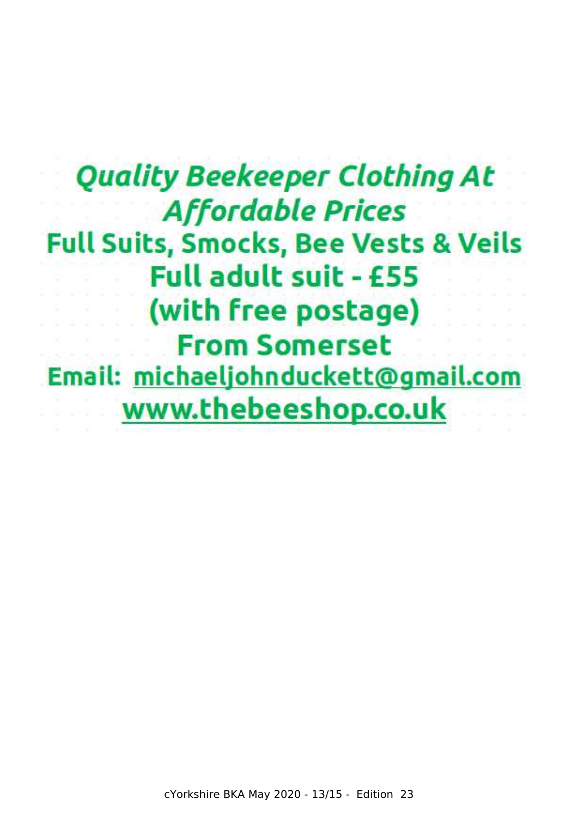**Quality Beekeeper Clothing At Affordable Prices Full Suits, Smocks, Bee Vests & Veils Full adult suit - £55** (with free postage) **From Somerset** Email: michaeljohnduckett@gmail.com www.thebeeshop.co.uk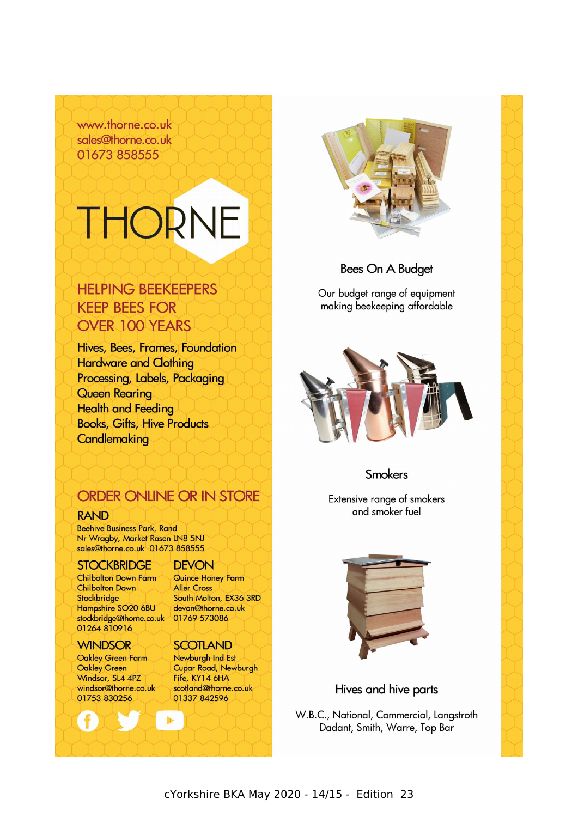www.thorne.co.uk sales@thorne.co.uk 01673 858555

# THORNE

# **HELPING BEEKEEPERS KEEP BEES FOR OVER 100 YEARS**

Hives, Bees, Frames, Foundation **Hardware and Clothing** Processing, Labels, Packaging **Queen Rearing Health and Feeding Books, Gifts, Hive Products** Candlemaking

# ORDER ONLINE OR IN STORE

#### **RAND**

**Beehive Business Park, Rand** Nr Wragby, Market Rasen LN8 5NJ sales@thorne.co.uk 01673 858555

#### **STOCKBRIDGE**

**Chilbolton Down Farm Chilbolton Down** Stockbridge Hampshire SO20 6BU stockbridge@thorne.co.uk 01769 573086 01264 810916

#### **WINDSOR**

**Oakley Green Farm** Oakley Green Windsor, SL4 4PZ windsor@thorne.co.uk 01753 830256

#### **DEVON**

Quince Honey Farm **Aller Cross** South Molton, EX36 3RD devon@thorne.co.uk

#### **SCOTLAND**

Newburgh Ind Est **Cupar Road, Newburgh** Fife, KY14 6HA scotland@thorne.co.uk 01337 842596



**Bees On A Budget** 

Our budget range of equipment making beekeeping affordable



## **Smokers**

Extensive range of smokers and smoker fuel



## Hives and hive parts

W.B.C., National, Commercial, Langstroth Dadant, Smith, Warre, Top Bar